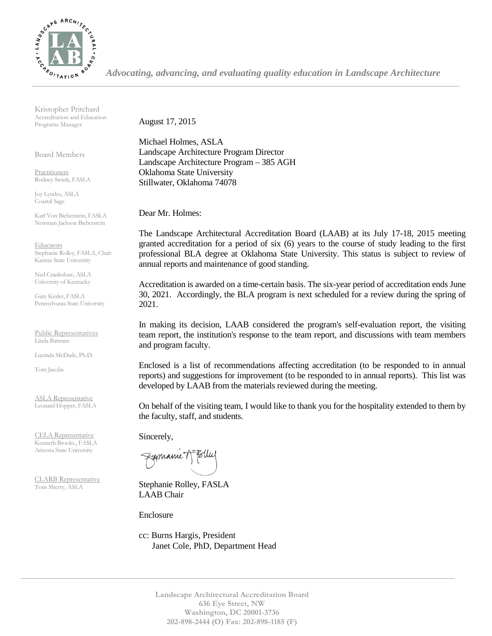

*Advocating, advancing, and evaluating quality education in Landscape Architecture*

Kristopher Pritchard Accreditation and Education Programs Manager

Board Members

Practitioners Rodney Swink, FASLA

Joy Lyndes, ASLA Coastal Sage

Karl Von Bieberstein, FASLA Newman Jackson Bieberstein

**Educators** Stephanie Rolley, FASLA, Chair Kansas State University

Ned Crankshaw, ASLA University of Kentucky

Gary Kesler, FASLA Pennsylvania State University

Public Representatives Linda Battram

Lucinda McDade, Ph.D.

Tom Jacobs

ASLA Representative Leonard Hopper, FASLA

CELA Representative Kenneth Brooks., FASLA Arizona State University

CLARB Representative Tom Sherry, ASLA

August 17, 2015

Michael Holmes, ASLA Landscape Architecture Program Director Landscape Architecture Program – 385 AGH Oklahoma State University Stillwater, Oklahoma 74078

Dear Mr. Holmes:

The Landscape Architectural Accreditation Board (LAAB) at its July 17-18, 2015 meeting granted accreditation for a period of six (6) years to the course of study leading to the first professional BLA degree at Oklahoma State University. This status is subject to review of annual reports and maintenance of good standing.

Accreditation is awarded on a time-certain basis. The six-year period of accreditation ends June 30, 2021. Accordingly, the BLA program is next scheduled for a review during the spring of 2021.

In making its decision, LAAB considered the program's self-evaluation report, the visiting team report, the institution's response to the team report, and discussions with team members and program faculty.

Enclosed is a list of recommendations affecting accreditation (to be responded to in annual reports) and suggestions for improvement (to be responded to in annual reports). This list was developed by LAAB from the materials reviewed during the meeting.

On behalf of the visiting team, I would like to thank you for the hospitality extended to them by the faculty, staff, and students.

Sincerely,

Fymanne T

Stephanie Rolley, FASLA LAAB Chair

Enclosure

cc: Burns Hargis, President Janet Cole, PhD, Department Head

> **Landscape Architectural Accreditation Board 636 Eye Street, NW Washington, DC 20001-3736 202-898-2444 (O) Fax: 202-898-1185 (F)**